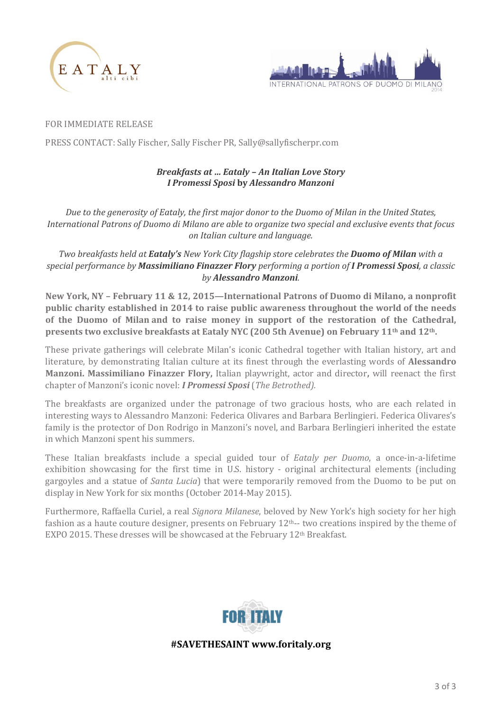



FOR IMMEDIATE RELEASE

PRESS CONTACT: Sally Fischer, Sally Fischer PR, Sally@sallyfischerpr.com

## *Breakfasts at … Eataly – An Italian Love Story I Promessi Sposi* **by** *Alessandro Manzoni*

*Due to the generosity of Eataly, the first major donor to the Duomo of Milan in the United States, International Patrons of Duomo di Milano are able to organize two special and exclusive events that focus on Italian culture and language.*

*Two breakfasts held at Eataly's New York City flagship store celebrates the Duomo of Milan with a special performance by Massimiliano Finazzer Flory performing a portion of I Promessi Sposi, a classic by Alessandro Manzoni.*

**New York, NY – February 11 & 12, 2015—International Patrons of Duomo di Milano, a nonprofit public charity established in 2014 to raise public awareness throughout the world of the needs of the Duomo of Milan and to raise money in support of the restoration of the Cathedral, presents two exclusive breakfasts at Eataly NYC (200 5th Avenue) on February 11th and 12th.**

These private gatherings will celebrate Milan's iconic Cathedral together with Italian history, art and literature, by demonstrating Italian culture at its finest through the everlasting words of **Alessandro Manzoni. Massimiliano Finazzer Flory,** Italian playwright, actor and director**,** will reenact the first chapter of Manzoni's iconic novel: *I Promessi Sposi* (*The Betrothed).*

The breakfasts are organized under the patronage of two gracious hosts, who are each related in interesting ways to Alessandro Manzoni: Federica Olivares and Barbara Berlingieri. Federica Olivares's family is the protector of Don Rodrigo in Manzoni's novel, and Barbara Berlingieri inherited the estate in which Manzoni spent his summers.

These Italian breakfasts include a special guided tour of *Eataly per Duomo*, a once-in-a-lifetime exhibition showcasing for the first time in U.S. history - original architectural elements (including gargoyles and a statue of *Santa Lucia*) that were temporarily removed from the Duomo to be put on display in New York for six months (October 2014-May 2015).

Furthermore, Raffaella Curiel, a real *Signora Milanese*, beloved by New York's high society for her high fashion as a haute couture designer, presents on February 12th-- two creations inspired by the theme of EXPO 2015. These dresses will be showcased at the February 12th Breakfast.



**#SAVETHESAINT www.foritaly.org**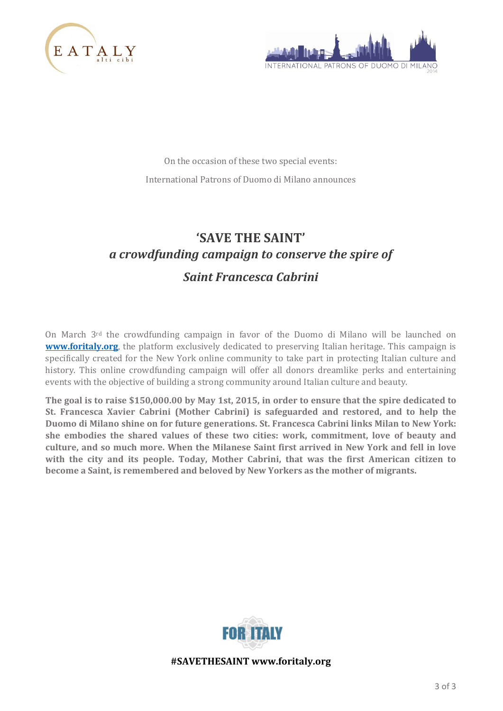



On the occasion of these two special events: International Patrons of Duomo di Milano announces

# **'SAVE THE SAINT'** *a crowdfunding campaign to conserve the spire of Saint Francesca Cabrini*

On March 3rd the crowdfunding campaign in favor of the Duomo di Milano will be launched on **[www.foritaly.org](http://www.foritaly.org/)**, the platform exclusively dedicated to preserving Italian heritage. This campaign is specifically created for the New York online community to take part in protecting Italian culture and history. This online crowdfunding campaign will offer all donors dreamlike perks and entertaining events with the objective of building a strong community around Italian culture and beauty.

**The goal is to raise \$150,000.00 by May 1st, 2015, in order to ensure that the spire dedicated to St. Francesca Xavier Cabrini (Mother Cabrini) is safeguarded and restored, and to help the Duomo di Milano shine on for future generations. St. Francesca Cabrini links Milan to New York: she embodies the shared values of these two cities: work, commitment, love of beauty and culture, and so much more. When the Milanese Saint first arrived in New York and fell in love with the city and its people. Today, Mother Cabrini, that was the first American citizen to become a Saint, is remembered and beloved by New Yorkers as the mother of migrants.** 



**#SAVETHESAINT www.foritaly.org**